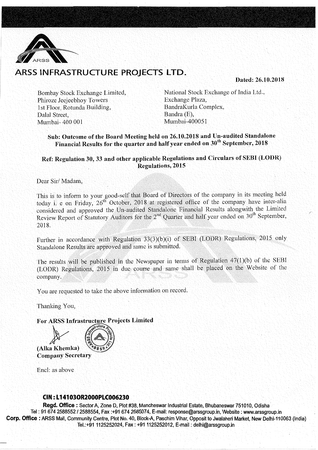

# ARSS INFRASTRUCTURE PROJECTS LTD.

Dated: 26.10.2018

Bombay Stock Exchange Limited, Phiroze Jeejeebhoy Towers 1st Floor, Rotunda Building, Dalal Street, Mumbai- 400 001

National Stock Exchange of India Ltd., Exchange Plaza, BandraKurla Complex, Bandra (E), Mumbai-400051

## Sub: Outcome of the Board Meeting held on 26.10.2018 and Un-audited Standalone Financial Results for the quarter and half year ended on  $30<sup>th</sup>$  September, 2018

## Ref: Regulation 30, 33 and other applicable Regulations and Circulars of SEBI (LODR) Regulations, 2015

Dear Sir/ Madam,

This is to inform to your good-self that Board of Directors of the company in its meeting held today i. e on Friday, 26<sup>th</sup> October, 2018 at registered office of the company have inter-alia considered and approved the Un-audited Standalone Financial Results alongwith the Limited Review Report of Statutory Auditors for the  $2<sup>nd</sup>$  Quarter and half year ended on  $30<sup>th</sup>$  September, 2018.

Further in accordance with Regulation 33(3)(b)(i) of SEBI (LODR) Regulations, 2015 only Standalone Results are approved and same is submitted.

The results will be published in the Newspaper in terms of Regulation 47(1)(b) of the SEBI (LODR) Regulations, 2015 in due course and same shall be placed on the Website of the company.

You are requested to take the above information on record.

Thanking You,

For ARSS Infrastructure Projects Limited **Company Secretary** 

Encl: as above

### CIN : L 141030R2000PLC006230

Regd. Office : Sector A, Zone D, Plot #38, Mancheswar Industrial Estate, Bhubaneswar 751010, Odisha Tel: 91 674 2588552/2588554, Fax :+91 674 2585074, E-mail: response@arssgroup.in, Website: www.arssgroup.in Corp. Office: ARSS Mall, Community Centre, Plot No. 40, Block-A, Paschim Vihar, Opposit to Jwalaheri Market, New Delhi-110063 (India) Tel.:+911125252024, Fax: +911125252012, E-mail: delhi@arssgroup.in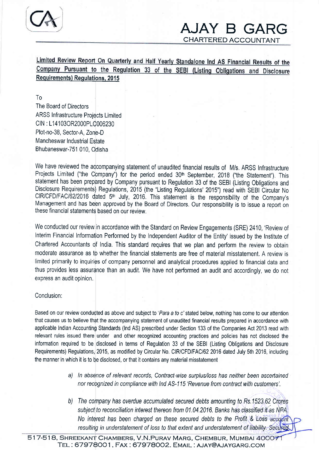

CHARTERED ACCOUNTANT

Limited Review Report On Quarterly and Half Yearly Standalone Ind AS Financial Results of the Company Pursuant to the Regulation 33 of the SEBI (Listing Obligations and Disclosure Requirements) Requlations, 2015

To The Board of Directors ARSS Infrastructure Projects Limited CIN : L14103OR2000PLC006230 Plot-no-38, Sector-A, Zone-D Mancheswar Industrial Estate Bhubaneswar-751 010, Odisha

We have reviewed the accompanying statement of unaudited financial results of M/s. ARSS Infrastructure Projects Limited ("the Company") for the period ended 30<sup>th</sup> September, 2018 ("the Statement"). This statement has been prepared by Company pursuant to Regulation 33 of the SEBI (Listing Obligations and Disclosure Requirements) Regulations, 2015 (the "Listing Regulations' 2015") read with SEBI Circular No CIR/CFD/FAC/62/2016 dated 5<sup>th</sup> July, 2016. This statement is the responsibility of the Company's Management and has been approved by the Board of Directors. Our responsibility is to issue a report on these financial statements based on our review,

We conducted our review in accordance with the Standard on Review Engagements (SRE) 2410, 'Review of Interim Financial Information Performed by the Independent Auditor of the Entity' issued by the Institute of Chartered Accountants qf India, This standard requires that we plan and perform the review to obtain moderate assurance as to whether the financial statements are free of material misstatement. A review is limited primarily to inquiries of company personnel and analytical procedures applied to financial data and thus provides less assurance than an audit, We have not performed an audit and accordingly, we do not express an audit opinion.

## Conclusion:

Based on our review conducted as above and subject to 'Para a to c' stated below, nothing has come to our attention that causes us to believe thet the accompanying statement of unaudited financial results prepared in accordance with applicable Indian Accounting Standards (lnd AS) prescribed under Section 133 of the Companies Act 2013 read with relevant rules issued there under and other recognized accounting practices and policies has not disclosed the information required to be disclosed in terms of Regulation 33 of the SEBI (Listing Obligations and Disclosure Requirements) Regulations, 2015, as modified by Circular No. CIR/CFD/FAC/62 2016 dated July 5th 2016, including the manner in which it is to be disclosed, or that it contains any material misstatement

- a) In absence of relevant records, Contract-wise surplus/loss has neither been ascertained nor recognized in compliance with lnd AS-115 'Revenue from contract with customers'.
- b) The company has overdue accumulated secured debts amounting to Rs.1523.62 Crores subject to reconciliation interest thereon from 01.04.2016. Banks has classified it as NPA. No interest has been charged on these secured debts to the Profit & Loss accordit resulting in understatement of loss to that extent and understatement of liability. Secured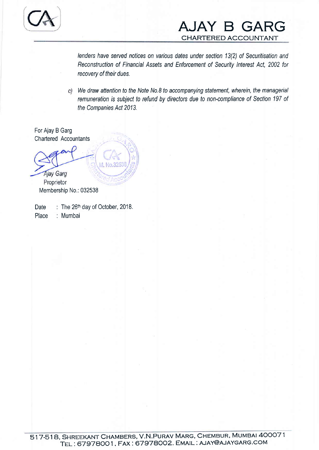

lenders have serued nofices on various dates under secfion 13(2) of Securitisafion and Reconstruction of Financial Assefs and Enforcement of Security lnterest Act, 2002 for recovery of their dues.

We draw attention to the Note No,8 fo accompanying statement, wherein, the managerial remuneration is subject to refund by directors due to non-compliance of Section 197 of the Companies Act 2013.

For Ajay B Garg Chartered Accountants

No.325 **Ajay Garg** Proprietor

Membership No,: 032538

Date Place : The 26<sup>th</sup> day of October, 2018. : Mumbai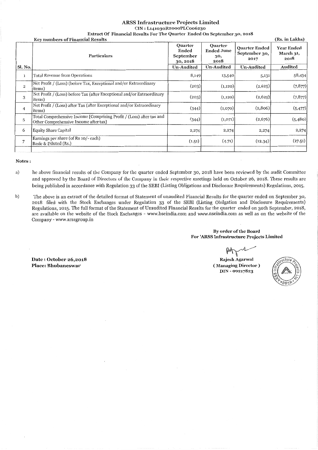#### ARSS Infrastructure Projects Limited CIN : L141030R2oooPLCoo6230

Extract Of Financial Results For The Quarter Ended On September 30, 2018

|                | <b>Key numbers of Financial Results</b>                                                                       |                                                  |                                                    |                                               |                                        |
|----------------|---------------------------------------------------------------------------------------------------------------|--------------------------------------------------|----------------------------------------------------|-----------------------------------------------|----------------------------------------|
|                | <b>Particulars</b>                                                                                            | <b>Quarter</b><br>Ended<br>September<br>30, 2018 | <b>Quarter</b><br><b>Ended June</b><br>30,<br>2018 | <b>Quarter Ended</b><br>September 30,<br>2017 | <b>Year Ended</b><br>March 31,<br>2018 |
| Sl. No.        |                                                                                                               | <b>Un-Audited</b>                                | <b>Un-Audited</b>                                  | <b>Un-Audited</b>                             | Audited                                |
| $\mathbf{1}$   | <b>Total Revenue from Operations</b>                                                                          | 8,149                                            | 13,540                                             | 5,131                                         | 58,434                                 |
| $\overline{2}$ | Net Profit / (Loss) (before Tax, Exceptional and/or Extraordinary<br><i>items</i> )                           | (203)                                            | (1,120)                                            | (2,625)                                       | (7, 877)                               |
| 3              | Net Profit / (Loss) before Tax (after Exceptional and/or Extraordinary<br><i>items</i> )                      | (203)                                            | (1,120)                                            | (2,625)                                       | (7, 877)                               |
| 4              | Net Profit / (Loss) after Tax (after Exceptional and/or Extraordinary<br><i>items</i> )                       | (344)                                            | (1,070)                                            | (2,806)                                       | (5, 477)                               |
| 5              | Total Comprehensive Income [Comprising Profit / (Loss) after tax and<br>Other Comprehensive Income after tax] | (344)                                            | (1,071)                                            | (2,676)                                       | (5,480)                                |
| 6              | <b>Equity Share Capital</b>                                                                                   | 2,274                                            | 2,274                                              | 2,274                                         | 2,274                                  |
| 7              | Earnings per share (of Rs 10/- each)<br>Basic & Diluted (Rs.)                                                 | (1.51)                                           | (4.71)                                             | (12.34)                                       | (27.51)                                |
|                |                                                                                                               |                                                  |                                                    |                                               |                                        |

#### Notes:

- a) he above financial results of the Company for the quarter ended September 30, 2018 have been reviewed by the audit Committee and approved by the Board of Directors of the Company in their respective meetings held on October 26, 2018. These results are being published in accordance with Regulation 33 of the SEBI (Listing Obligations and Disclosure Requirements) Regulations, 2015.
- b) The above is an extract of the detailed format of Statement of unaudited Financial Results for the quarter ended on September 30, 2018 filed with the Stock Exchanges under Regulation 33 of the SEBI (Listing Obilgation and Disclosure Requirements) Regulations, 2015. The full format of the Statement of Unaudited Financial Results for the quarter ended on 30th September, 2018, are available on the website of the Stock Exchanges - www.bseindia.com and www.nseindia.com as well as on the website of the Company- www.arssgroup.in

#### By order of the Board For 'ARSS Infrastructure Projects Limited

**Rajesh Agarwal** (Managing Director ) DIN- 00217823



Date : October 26,2018 Place: Bhubaneswar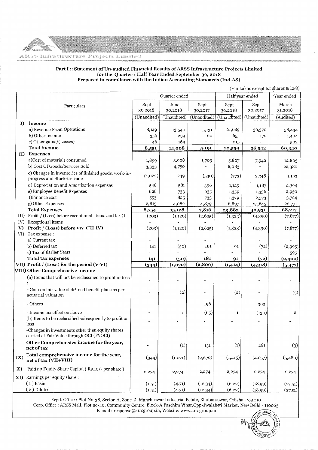#### Part I :: Statement of Un-audited Financial Results of ARSS Infrastructure Projects Limited for the Quarter/ Half Year Ended September 30, 2018 Prepared in compliance with the Indian Accounting Standards (Ind-AS)

(-in Lakhs except for shares & EPS)

|              |                                                                                               | Quarter ended |             | Half year ended |                   | 'Year ended |              |
|--------------|-----------------------------------------------------------------------------------------------|---------------|-------------|-----------------|-------------------|-------------|--------------|
|              | Particulars                                                                                   | Sept          | June        | Sept            | Sept              | Sept        | March        |
|              |                                                                                               | 30,2018       | 30,2018     | 30,2017         | 30,2018           | 30,2017     | 31,2018      |
|              |                                                                                               | (Unaudited)   | (Unaudited) | (Unaudited)     | (Unaudited)       | (Unaudited) | (Audited)    |
| I)           | Income                                                                                        |               |             |                 |                   |             |              |
|              | a) Revenue From Operations                                                                    | 8,149         | 13,540      | 5,131<br>60     | 21,689            | 36,370      | 58,434       |
|              | b) Other income<br>c) Other gains/(Losses)                                                    | 356<br>46     | 299<br>169  |                 | 655<br>215        | 172         | 1,404<br>502 |
|              | <b>Total lncome</b>                                                                           | 8,551         | 14,008      | 5,191           | 22,559            | 36,542      | 60,340       |
|              | II) Expenses                                                                                  |               |             |                 |                   |             |              |
|              | a)Cost of materials consumed                                                                  | 1,899         | 3,908       | 1,703           | 5,807             | 7,942       | 12,805       |
|              | b) Cost Of Goods/Services Sold                                                                | 3,333         | 4,750       |                 | 8,083             |             | 22,380       |
|              | c) Changes in Inventories of finished goods, work-in-<br>progress and Stock-in-trade          | (1,022)       | 249         | (530)           | (773)             | 2,248       | 1,193        |
|              | d) Depreciation and Amortization expenses                                                     | 548           | 581         | 396             | 1,129             | 1,187       | 2,394        |
|              | e) Employee Benefit Expenses                                                                  | 626           | 733         | 635             | 1,359             | 1,336       | 2,950        |
|              | f)Finance cost                                                                                | 553           | 825         | 733             | 1,379             | 2,573       | 3,724        |
|              | g) Other Expenses                                                                             | 2,815         | 4,082       | 4,879           | 6,897             | 25,645      | 22,771       |
|              | <b>Total Expenses</b>                                                                         | 8,754         | 15,128      | 7,816           | 23,882            | 40,931      | 68,217       |
|              | III) Profit / (Loss) before exceptional items and tax (I-                                     | (203)         | (1,120)     | (2,625)         | (1, 323)          | (4,390)     | (7, 877)     |
| IV)          | <b>Exceptional</b> items                                                                      |               |             |                 |                   |             |              |
| V)           | Profit / (Loss) before tax (III-IV)                                                           | (203)         | (1,120)     | (2,625)         | (1, 323)          | (4,390)     | (7, 877)     |
| VI)          | Tax expense :                                                                                 |               |             |                 |                   |             |              |
|              | a) Current tax                                                                                |               |             |                 |                   |             |              |
|              | b) Deferred tax                                                                               | 141           | (50)        | 181             | 91                | (72)        | (2,995)      |
|              | c) Tax of Earlier Years                                                                       |               |             |                 |                   |             | 595          |
|              | <b>Total tax expenses</b>                                                                     | 141           | (50)        | 181             | 91                | (72)        | (2,400)      |
|              | VII) Profit / (Loss) for the period (V-VI)                                                    | (344)         | (1,070)     | (2, 806)        | (1,414)           | (4,318)     | (5, 477)     |
|              | VIII) Other Comprehensive income                                                              |               |             |                 |                   |             |              |
|              | (a) Items that will not be reclassified to profit or loss                                     |               |             |                 |                   |             |              |
|              | - Gain on fair value of defined benefit plans as per<br>actuarial valuation                   |               | (2)         | $\overline{a}$  | (2)               |             | (5)          |
|              | - Others                                                                                      |               |             | 196             |                   | 392         |              |
|              | - Income tax effect on above                                                                  |               | 1           | (65)            | $\mathbf{1}$      | (130)       | 2            |
|              | (b) Items to be reclassified subsequently to profit or<br>loss                                |               |             |                 |                   |             |              |
|              | -Changes in investments other than equity shares<br>carried at Fair Value through OCI (FVOCI) |               |             |                 |                   |             |              |
|              | Other Comprehensive income for the year,<br>net of tax                                        |               | (1)         | 131             | $\left( 1\right)$ | 261         | (3)          |
| IX)          | Total comprehensive income for the year,<br>net of tax (VII+VIII)                             | (344)         | (1,071)     | (2,676)         | (1, 415)          | (4,057)     | (5,480)      |
| $\mathbf{X}$ | Paid up Equity Share Capital (Rs.10/- per share)                                              | 2,274         | 2,274       | 2,274           | 2,274             | 2,274       | 2,274        |
| XI)          | Earnings per equity share :                                                                   |               |             |                 |                   |             |              |
|              | $(1)$ Basic                                                                                   | (1.51)        | (4.71)      | (12.34)         | (6.22)            | (18.99)     | (27.51)      |
|              | (2) Diluted                                                                                   | (1.51)        | (4.71)      | (12.34)         | (6.22)            | (18.99)     | (27.51)      |

Regd. Office: Plot No-38, Sector-A, Zone-D, Mancheswar Industrial Estate, Bhubaneswar, Odisha -751010 Corp. Office: ARSS Mall, Plot no-40, Community Centre, Block-A,Paschim Vihar,Opp-Jwalaheri Market, New Delhi- 110063 E-mail : response@arssgroup.in, Website: vvww.arssgroup.in

~~  ${\cal A}$ **\`&&\$R^**^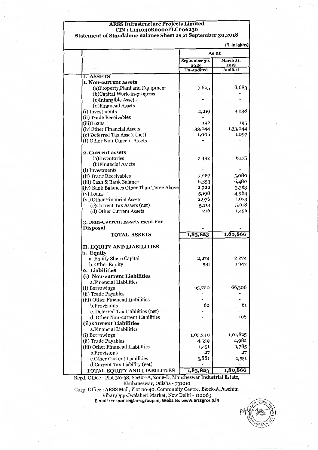## **ARSS Infrastructure Projects Limited** CIN : L141030R2oooPLCoo6230

Statement of Standalone Balance Sheet as at September 30,2018

|                                           |                       | (₹ In lakhs)      |  |  |
|-------------------------------------------|-----------------------|-------------------|--|--|
|                                           | As at                 |                   |  |  |
|                                           | September 30,<br>2018 | March 31,<br>2018 |  |  |
|                                           | <b>Un-Audited</b>     | <b>Audited</b>    |  |  |
| <b>I. ASSETS</b>                          |                       |                   |  |  |
| 1. Non-current assets                     |                       |                   |  |  |
| (a) Property, Plant and Equipment         | 7,605                 | 8,683             |  |  |
| (b)Capital Work-in-progress               |                       |                   |  |  |
| (c)Intangible Assets                      |                       |                   |  |  |
| (d)Financial Assets                       |                       |                   |  |  |
| (i) Investments                           | 4,219                 | 4,238             |  |  |
| (ii) Trade Receivables                    |                       |                   |  |  |
| (iii)Loans                                | 192                   | 195               |  |  |
| (iv)Other Financial Assets                | 1,33,044              | 1,33,044          |  |  |
| (e) Deferred Tax Assets (net)             | 1,006                 | 1,097             |  |  |
| (f) Other Non-Current Assets              |                       |                   |  |  |
| <b>2. Current assets</b>                  |                       |                   |  |  |
| (a)Inventories                            | 7,492                 | 6,175             |  |  |
| (b) Financial Assets                      |                       |                   |  |  |
| (i) Investments                           |                       |                   |  |  |
| (ii) Trade Receivables                    | 7,287                 | 5,080             |  |  |
| (iii) Cash & Bank Balance                 | 6,553                 | 6,480             |  |  |
| (iv) Bank Balances Other Than Three Above | 2,922                 | 3,363             |  |  |
| (v) Loans                                 | 5,198                 | 4,964             |  |  |
| (vi) Other Financial Assets               | 2,976                 | 1,073             |  |  |
| (c)Current Tax Assets (net)               | 5,113                 | 5,018             |  |  |
| (d) Other Current Assets                  | 216                   | 1,456             |  |  |
| <b>3. Non-Current Assets Held For</b>     |                       |                   |  |  |
| <b>Disposal</b>                           |                       |                   |  |  |
| <b>TOTAL ASSETS</b>                       | 1,83,823              | 1,80,866          |  |  |
| II. EQUITY AND LIABILITIES                |                       |                   |  |  |
| 1. Equity                                 |                       |                   |  |  |
| a. Equity Share Capital                   | 2,274                 | 2,274             |  |  |
| b. Other Equity                           | 531                   | 1,947             |  |  |
| 2. Liabilities                            |                       |                   |  |  |
| (i) Non-current Liabilities               |                       |                   |  |  |
| a. Financial Liabilities                  |                       |                   |  |  |
| (i) Borrowings                            | 65,720                | 66,306            |  |  |
| (ii) Trade Payables                       |                       |                   |  |  |
| (iii) Other Financial Liabilities         |                       |                   |  |  |
| b.Provisions                              | 60                    | 61                |  |  |
| c. Deferred Tax Liabilities (net)         |                       |                   |  |  |
| d. Other Non-current Liabilities          |                       | 108               |  |  |
| (ii) Current Liabilities                  |                       |                   |  |  |
| a. Financial Liabilities                  |                       |                   |  |  |
| (i) Borrowings                            | 1,05,340              | 1,01,825          |  |  |
| (ii) Trade Payables                       | 4,539                 | 4,982             |  |  |
| (iii) Other Financial Liabilities         | 1,451                 | 1,785             |  |  |
| b.Provisions                              | 27                    | 27                |  |  |
| c.Other Current Liabilities               | 3,881                 | 1,551             |  |  |
| d.Current Tax Liability (net)             |                       |                   |  |  |
| <b>TOTAL EQUITY AND LIABILITIES</b>       | 1,83,823              | 1,80,866          |  |  |

Regd. Office : Plot No-38, Sector-A, Zone-D, Mancheswar Industrial Estate, Bhubaneswar, Odisha - 751010

Corp. Office : ARSS Mall, Plot no-40, Community Centre, Block-A,Paschim Vihar,Opp-Jwalaheri Market, New Delhi - 110063 E-mail : response@arssgroup.in, Website: www.arssgroup.in